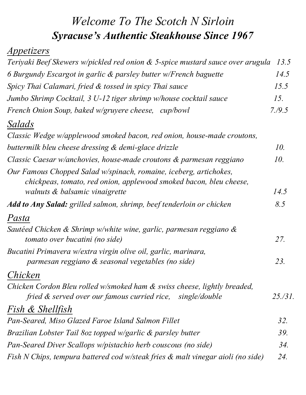## *Welcome To The Scotch N Sirloin Syracuse's Authentic Steakhouse Since 1967*

## *Appetizers*

| Teriyaki Beef Skewers w/pickled red onion & 5-spice mustard sauce over arugula                                                          | 13.5     |
|-----------------------------------------------------------------------------------------------------------------------------------------|----------|
| 6 Burgundy Escargot in garlic & parsley butter w/French baguette                                                                        | 14.5     |
| Spicy Thai Calamari, fried & tossed in spicy Thai sauce                                                                                 | 15.5     |
| Jumbo Shrimp Cocktail, 3 U-12 tiger shrimp w/house cocktail sauce                                                                       | 15.      |
| French Onion Soup, baked w/gruyere cheese, cup/bowl                                                                                     | 7. / 9.5 |
| Salads                                                                                                                                  |          |
| Classic Wedge w/applewood smoked bacon, red onion, house-made croutons,                                                                 |          |
| buttermilk bleu cheese dressing & demi-glace drizzle                                                                                    | 10.      |
| Classic Caesar w/anchovies, house-made croutons & parmesan reggiano                                                                     | 10.      |
| Our Famous Chopped Salad w/spinach, romaine, iceberg, artichokes,<br>chickpeas, tomato, red onion, applewood smoked bacon, bleu cheese, |          |
| walnuts & balsamic vinaigrette                                                                                                          | 14.5     |
| <b>Add to Any Salad:</b> grilled salmon, shrimp, beef tenderloin or chicken                                                             | 8.5      |
| Pasta                                                                                                                                   |          |
| Sautéed Chicken & Shrimp w/white wine, garlic, parmesan reggiano &<br>tomato over bucatini (no side)                                    | 27.      |
| Bucatini Primavera w/extra virgin olive oil, garlic, marinara,                                                                          |          |
| parmesan reggiano & seasonal vegetables (no side)                                                                                       | 23.      |
| Chicken                                                                                                                                 |          |
| Chicken Cordon Bleu rolled w/smoked ham & swiss cheese, lightly breaded,<br>fried & served over our famous curried rice, single/double  | 25./31.  |
| <i>Fish &amp; Shellfish</i>                                                                                                             |          |
| Pan-Seared, Miso Glazed Faroe Island Salmon Fillet                                                                                      | 32.      |
| Brazilian Lobster Tail 80z topped w/garlic & parsley butter                                                                             | 39.      |
| Pan-Seared Diver Scallops w/pistachio herb couscous (no side)                                                                           | 34.      |
| Fish N Chips, tempura battered cod w/steak fries & malt vinegar aioli (no side)                                                         | 24.      |